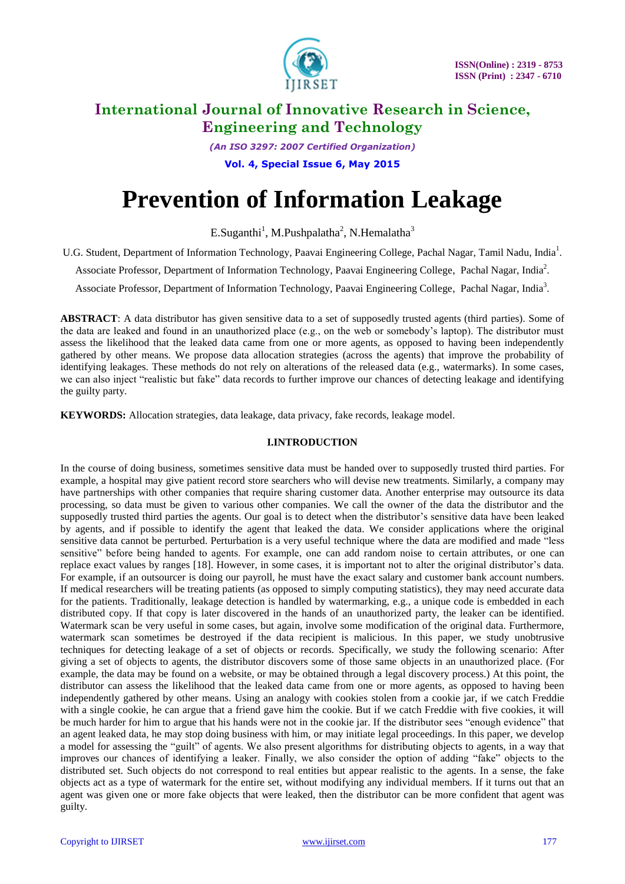

*(An ISO 3297: 2007 Certified Organization)* **Vol. 4, Special Issue 6, May 2015**

# **Prevention of Information Leakage**

E.Suganthi<sup>1</sup>, M.Pushpalatha<sup>2</sup>, N.Hemalatha<sup>3</sup>

U.G. Student, Department of Information Technology, Paavai Engineering College, Pachal Nagar, Tamil Nadu, India<sup>1</sup>.

Associate Professor, Department of Information Technology, Paavai Engineering College, Pachal Nagar, India<sup>2</sup>.

Associate Professor, Department of Information Technology, Paavai Engineering College, Pachal Nagar, India<sup>3</sup>.

**ABSTRACT**: A data distributor has given sensitive data to a set of supposedly trusted agents (third parties). Some of the data are leaked and found in an unauthorized place (e.g., on the web or somebody's laptop). The distributor must assess the likelihood that the leaked data came from one or more agents, as opposed to having been independently gathered by other means. We propose data allocation strategies (across the agents) that improve the probability of identifying leakages. These methods do not rely on alterations of the released data (e.g., watermarks). In some cases, we can also inject "realistic but fake" data records to further improve our chances of detecting leakage and identifying the guilty party.

**KEYWORDS:** Allocation strategies, data leakage, data privacy, fake records, leakage model.

#### **I.INTRODUCTION**

In the course of doing business, sometimes sensitive data must be handed over to supposedly trusted third parties. For example, a hospital may give patient record store searchers who will devise new treatments. Similarly, a company may have partnerships with other companies that require sharing customer data. Another enterprise may outsource its data processing, so data must be given to various other companies. We call the owner of the data the distributor and the supposedly trusted third parties the agents. Our goal is to detect when the distributor's sensitive data have been leaked by agents, and if possible to identify the agent that leaked the data. We consider applications where the original sensitive data cannot be perturbed. Perturbation is a very useful technique where the data are modified and made "less sensitive" before being handed to agents. For example, one can add random noise to certain attributes, or one can replace exact values by ranges [18]. However, in some cases, it is important not to alter the original distributor's data. For example, if an outsourcer is doing our payroll, he must have the exact salary and customer bank account numbers. If medical researchers will be treating patients (as opposed to simply computing statistics), they may need accurate data for the patients. Traditionally, leakage detection is handled by watermarking, e.g., a unique code is embedded in each distributed copy. If that copy is later discovered in the hands of an unauthorized party, the leaker can be identified. Watermark scan be very useful in some cases, but again, involve some modification of the original data. Furthermore, watermark scan sometimes be destroyed if the data recipient is malicious. In this paper, we study unobtrusive techniques for detecting leakage of a set of objects or records. Specifically, we study the following scenario: After giving a set of objects to agents, the distributor discovers some of those same objects in an unauthorized place. (For example, the data may be found on a website, or may be obtained through a legal discovery process.) At this point, the distributor can assess the likelihood that the leaked data came from one or more agents, as opposed to having been independently gathered by other means. Using an analogy with cookies stolen from a cookie jar, if we catch Freddie with a single cookie, he can argue that a friend gave him the cookie. But if we catch Freddie with five cookies, it will be much harder for him to argue that his hands were not in the cookie jar. If the distributor sees "enough evidence" that an agent leaked data, he may stop doing business with him, or may initiate legal proceedings. In this paper, we develop a model for assessing the "guilt" of agents. We also present algorithms for distributing objects to agents, in a way that improves our chances of identifying a leaker. Finally, we also consider the option of adding "fake" objects to the distributed set. Such objects do not correspond to real entities but appear realistic to the agents. In a sense, the fake objects act as a type of watermark for the entire set, without modifying any individual members. If it turns out that an agent was given one or more fake objects that were leaked, then the distributor can be more confident that agent was guilty.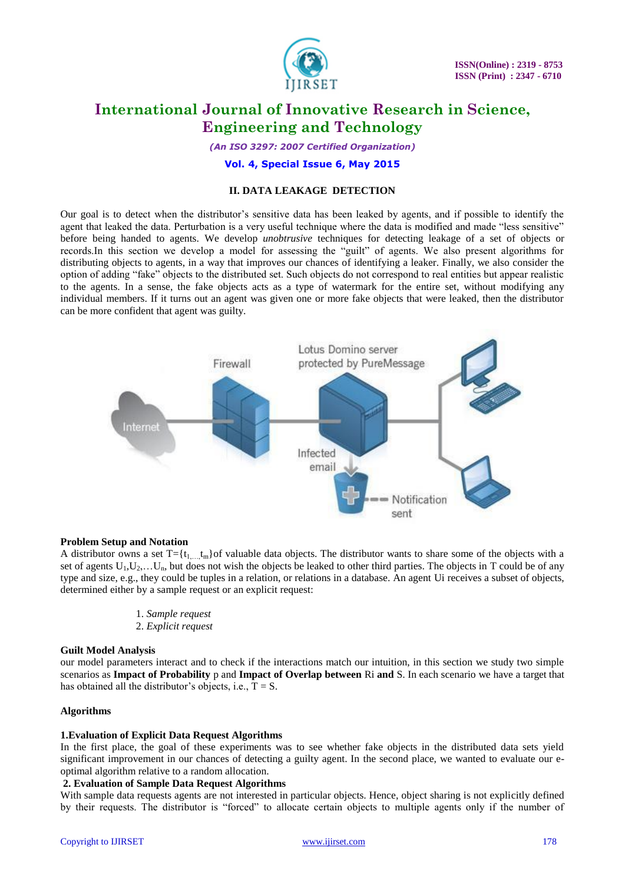

# *(An ISO 3297: 2007 Certified Organization)*

**Vol. 4, Special Issue 6, May 2015**

# **II. DATA LEAKAGE DETECTION**

Our goal is to detect when the distributor's sensitive data has been leaked by agents, and if possible to identify the agent that leaked the data. Perturbation is a very useful technique where the data is modified and made "less sensitive" before being handed to agents. We develop *unobtrusive* techniques for detecting leakage of a set of objects or records.In this section we develop a model for assessing the "guilt" of agents. We also present algorithms for distributing objects to agents, in a way that improves our chances of identifying a leaker. Finally, we also consider the option of adding "fake" objects to the distributed set. Such objects do not correspond to real entities but appear realistic to the agents. In a sense, the fake objects acts as a type of watermark for the entire set, without modifying any individual members. If it turns out an agent was given one or more fake objects that were leaked, then the distributor can be more confident that agent was guilty.



#### **Problem Setup and Notation**

A distributor owns a set  $T = \{t_{1,...,t_m}\}$  of valuable data objects. The distributor wants to share some of the objects with a set of agents  $U_1, U_2, \ldots, U_n$ , but does not wish the objects be leaked to other third parties. The objects in T could be of any type and size, e.g., they could be tuples in a relation, or relations in a database. An agent Ui receives a subset of objects, determined either by a sample request or an explicit request:

- 1. *Sample request*
- 2. *Explicit request*

#### **Guilt Model Analysis**

our model parameters interact and to check if the interactions match our intuition, in this section we study two simple scenarios as **Impact of Probability** p and **Impact of Overlap between** Ri **and** S. In each scenario we have a target that has obtained all the distributor's objects, i.e.,  $T = S$ .

#### **Algorithms**

#### **1.Evaluation of Explicit Data Request Algorithms**

In the first place, the goal of these experiments was to see whether fake objects in the distributed data sets yield significant improvement in our chances of detecting a guilty agent. In the second place, we wanted to evaluate our eoptimal algorithm relative to a random allocation.

#### **2. Evaluation of Sample Data Request Algorithms**

With sample data requests agents are not interested in particular objects. Hence, object sharing is not explicitly defined by their requests. The distributor is "forced" to allocate certain objects to multiple agents only if the number of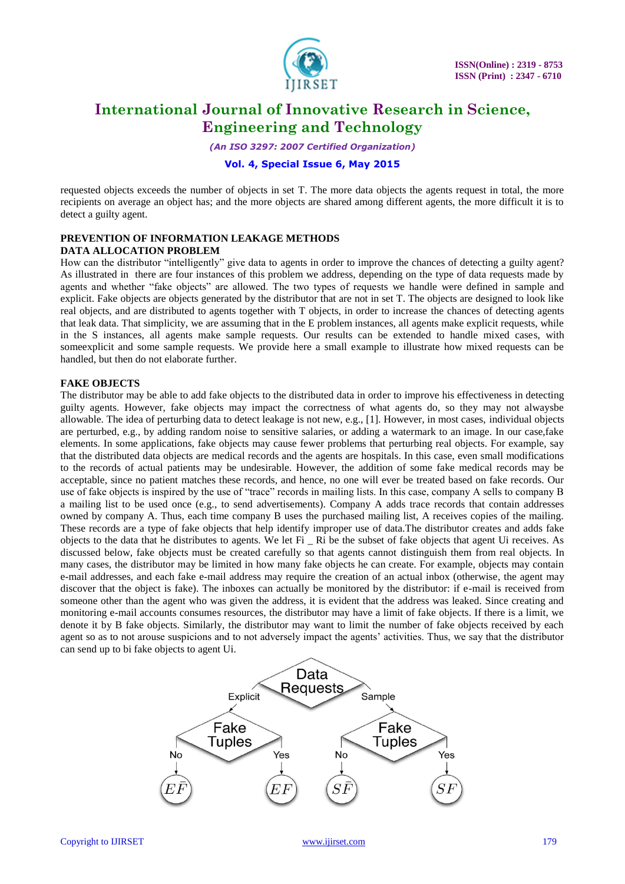

*(An ISO 3297: 2007 Certified Organization)*

### **Vol. 4, Special Issue 6, May 2015**

requested objects exceeds the number of objects in set T. The more data objects the agents request in total, the more recipients on average an object has; and the more objects are shared among different agents, the more difficult it is to detect a guilty agent.

### **PREVENTION OF INFORMATION LEAKAGE METHODS DATA ALLOCATION PROBLEM**

How can the distributor "intelligently" give data to agents in order to improve the chances of detecting a guilty agent? As illustrated in there are four instances of this problem we address, depending on the type of data requests made by agents and whether "fake objects" are allowed. The two types of requests we handle were defined in sample and explicit. Fake objects are objects generated by the distributor that are not in set T. The objects are designed to look like real objects, and are distributed to agents together with T objects, in order to increase the chances of detecting agents that leak data. That simplicity, we are assuming that in the E problem instances, all agents make explicit requests, while in the S instances, all agents make sample requests. Our results can be extended to handle mixed cases, with someexplicit and some sample requests. We provide here a small example to illustrate how mixed requests can be handled, but then do not elaborate further.

#### **FAKE OBJECTS**

The distributor may be able to add fake objects to the distributed data in order to improve his effectiveness in detecting guilty agents. However, fake objects may impact the correctness of what agents do, so they may not alwaysbe allowable. The idea of perturbing data to detect leakage is not new, e.g., [1]. However, in most cases, individual objects are perturbed, e.g., by adding random noise to sensitive salaries, or adding a watermark to an image. In our case,fake elements. In some applications, fake objects may cause fewer problems that perturbing real objects. For example, say that the distributed data objects are medical records and the agents are hospitals. In this case, even small modifications to the records of actual patients may be undesirable. However, the addition of some fake medical records may be acceptable, since no patient matches these records, and hence, no one will ever be treated based on fake records. Our use of fake objects is inspired by the use of "trace" records in mailing lists. In this case, company A sells to company B a mailing list to be used once (e.g., to send advertisements). Company A adds trace records that contain addresses owned by company A. Thus, each time company B uses the purchased mailing list, A receives copies of the mailing. These records are a type of fake objects that help identify improper use of data.The distributor creates and adds fake objects to the data that he distributes to agents. We let Fi \_ Ri be the subset of fake objects that agent Ui receives. As discussed below, fake objects must be created carefully so that agents cannot distinguish them from real objects. In many cases, the distributor may be limited in how many fake objects he can create. For example, objects may contain e-mail addresses, and each fake e-mail address may require the creation of an actual inbox (otherwise, the agent may discover that the object is fake). The inboxes can actually be monitored by the distributor: if e-mail is received from someone other than the agent who was given the address, it is evident that the address was leaked. Since creating and monitoring e-mail accounts consumes resources, the distributor may have a limit of fake objects. If there is a limit, we denote it by B fake objects. Similarly, the distributor may want to limit the number of fake objects received by each agent so as to not arouse suspicions and to not adversely impact the agents' activities. Thus, we say that the distributor can send up to bi fake objects to agent Ui.

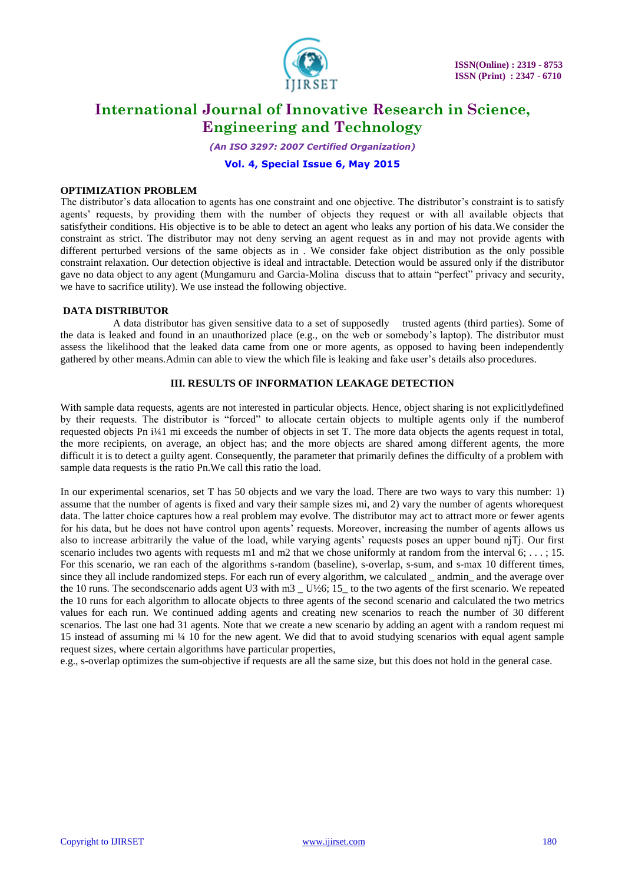

*(An ISO 3297: 2007 Certified Organization)*

### **Vol. 4, Special Issue 6, May 2015**

### **OPTIMIZATION PROBLEM**

The distributor's data allocation to agents has one constraint and one objective. The distributor's constraint is to satisfy agents' requests, by providing them with the number of objects they request or with all available objects that satisfytheir conditions. His objective is to be able to detect an agent who leaks any portion of his data.We consider the constraint as strict. The distributor may not deny serving an agent request as in and may not provide agents with different perturbed versions of the same objects as in . We consider fake object distribution as the only possible constraint relaxation. Our detection objective is ideal and intractable. Detection would be assured only if the distributor gave no data object to any agent (Mungamuru and Garcia-Molina discuss that to attain "perfect" privacy and security, we have to sacrifice utility). We use instead the following objective.

#### **DATA DISTRIBUTOR**

A data distributor has given sensitive data to a set of supposedly trusted agents (third parties). Some of the data is leaked and found in an unauthorized place (e.g., on the web or somebody's laptop). The distributor must assess the likelihood that the leaked data came from one or more agents, as opposed to having been independently gathered by other means.Admin can able to view the which file is leaking and fake user's details also procedures.

### **III. RESULTS OF INFORMATION LEAKAGE DETECTION**

With sample data requests, agents are not interested in particular objects. Hence, object sharing is not explicitlydefined by their requests. The distributor is "forced" to allocate certain objects to multiple agents only if the numberof requested objects Pn i¼1 mi exceeds the number of objects in set T. The more data objects the agents request in total, the more recipients, on average, an object has; and the more objects are shared among different agents, the more difficult it is to detect a guilty agent. Consequently, the parameter that primarily defines the difficulty of a problem with sample data requests is the ratio Pn.We call this ratio the load.

In our experimental scenarios, set T has 50 objects and we vary the load. There are two ways to vary this number: 1) assume that the number of agents is fixed and vary their sample sizes mi, and 2) vary the number of agents whorequest data. The latter choice captures how a real problem may evolve. The distributor may act to attract more or fewer agents for his data, but he does not have control upon agents' requests. Moreover, increasing the number of agents allows us also to increase arbitrarily the value of the load, while varying agents' requests poses an upper bound njTj. Our first scenario includes two agents with requests m1 and m2 that we chose uniformly at random from the interval  $6; \ldots; 15$ . For this scenario, we ran each of the algorithms s-random (baseline), s-overlap, s-sum, and s-max 10 different times, since they all include randomized steps. For each run of every algorithm, we calculated \_andmin\_and the average over the 10 runs. The secondscenario adds agent U3 with m3  $U/26$ ; 15 to the two agents of the first scenario. We repeated the 10 runs for each algorithm to allocate objects to three agents of the second scenario and calculated the two metrics values for each run. We continued adding agents and creating new scenarios to reach the number of 30 different scenarios. The last one had 31 agents. Note that we create a new scenario by adding an agent with a random request mi 15 instead of assuming mi ¼ 10 for the new agent. We did that to avoid studying scenarios with equal agent sample request sizes, where certain algorithms have particular properties,

e.g., s-overlap optimizes the sum-objective if requests are all the same size, but this does not hold in the general case.